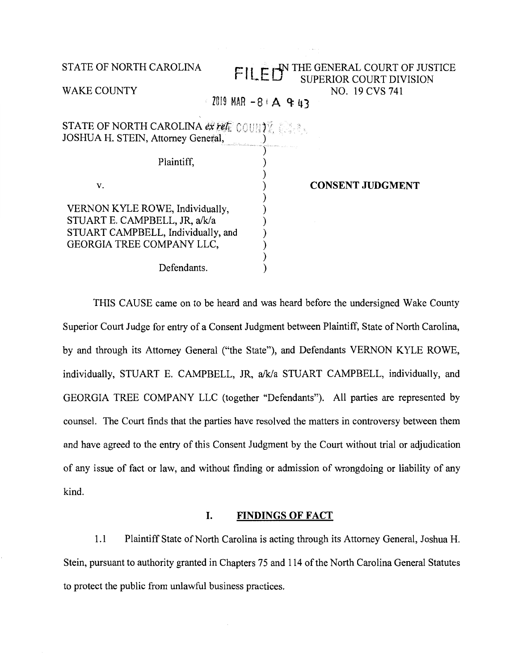| STATE OF NORTH CAROLINA                                                                                                             | FILETY THE GENERAL COURT OF JUSTICE<br><b>SUPERIOR COURT DIVISION</b> |
|-------------------------------------------------------------------------------------------------------------------------------------|-----------------------------------------------------------------------|
| <b>WAKE COUNTY</b>                                                                                                                  | NO. 19 CVS 741<br>$2019$ MAR $-8$ A & 43                              |
| <b>STATE OF NORTH CAROLINA ex refered COUNTY.</b><br>JOSHUA H. STEIN, Attorney General,                                             |                                                                       |
| Plaintiff,                                                                                                                          |                                                                       |
| V.                                                                                                                                  | <b>CONSENT JUDGMENT</b>                                               |
| VERNON KYLE ROWE, Individually,<br>STUART E. CAMPBELL, JR, a/k/a<br>STUART CAMPBELL, Individually, and<br>GEORGIA TREE COMPANY LLC, |                                                                       |
| Defendants.                                                                                                                         |                                                                       |

THIS CAUSE came on to be heard and was heard before the undersigned Wake County Superior Court Judge for entry of a Consent Judgment between Plaintiff, State of North Carolina, by and through its Attorney General ("the State"), and Defendants VERNON KYLE ROWE, individually, STUART E. CAMPBELL, JR, a/k/a STUART CAMPBELL, individually, and GEORGIA TREE COMPANY LLC (together "Defendants"). All parties are represented by counsel. The Court finds that the parties have resolved the matters in controversy between them and have agreed to the entry of this Consent Judgment by the Court without trial or adjudication of any issue of fact or law, and without finding or admission of wrongdoing or liability of any kind.

## **I. FINDINGS OF FACT**

1.1 Plaintiff State of North Carolina is acting through its Attorney General, Joshua H. Stein, pursuant to authority granted in Chapters 75 and 114 of the North Carolina General Statutes to protect the public from unlawful business practices.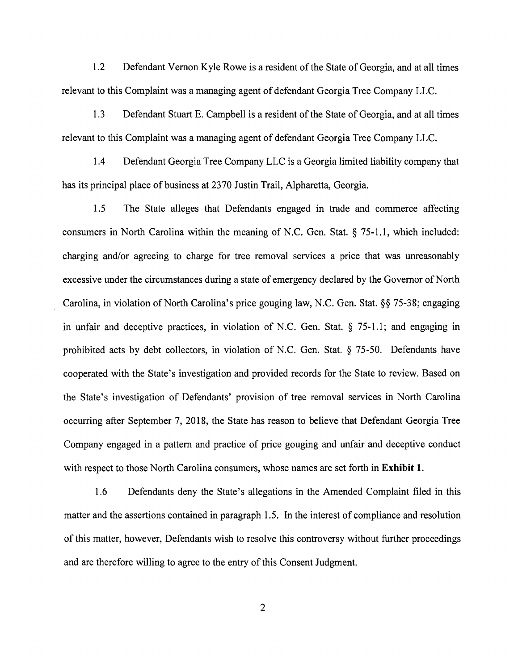1.2 Defendant Vernon Kyle Rowe is a resident of the State of Georgia, and at all times relevant to this Complaint was a managing agent of defendant Georgia Tree Company LLC.

1.3 Defendant Stuart E. Campbell is a resident of the State of Georgia, and at all times relevant to this Complaint was a managing agent of defendant Georgia Tree Company LLC.

1.4 Defendant Georgia Tree Company LLC is a Georgia limited liability company that has its principal place of business at 2370 Justin Trail, Alpharetta, Georgia.

1.5 The State alleges that Defendants engaged in trade and commerce affecting consumers in North Carolina within the meaning of N.C. Gen. Stat.§ 75-1.1, which included: charging and/or agreeing to charge for tree removal services a price that was unreasonably excessive under the circumstances during a state of emergency declared by the Governor of North Carolina, in violation of North Carolina's price gouging law, N.C. Gen. Stat. §§ 75-38; engaging in unfair and deceptive practices, in violation of N.C. Gen. Stat. § 75-1.1; and engaging in prohibited acts by debt collectors, in violation of N.C. Gen. Stat. § 75-50. Defendants have cooperated with the State's investigation and provided records for the State to review. Based on the State's investigation of Defendants' provision of tree removal services in North Carolina occurring after September 7, 2018, the State has reason to believe that Defendant Georgia Tree Company engaged in a pattern and practice of price gouging and unfair and deceptive conduct with respect to those North Carolina consumers, whose names are set forth in **Exhibit 1.** 

1.6 Defendants deny the State's allegations in the Amended Complaint filed in this matter and the assertions contained in paragraph 1.5. In the interest of compliance and resolution of this matter, however, Defendants wish to resolve this controversy without further proceedings and are therefore willing to agree to the entry of this Consent Judgment.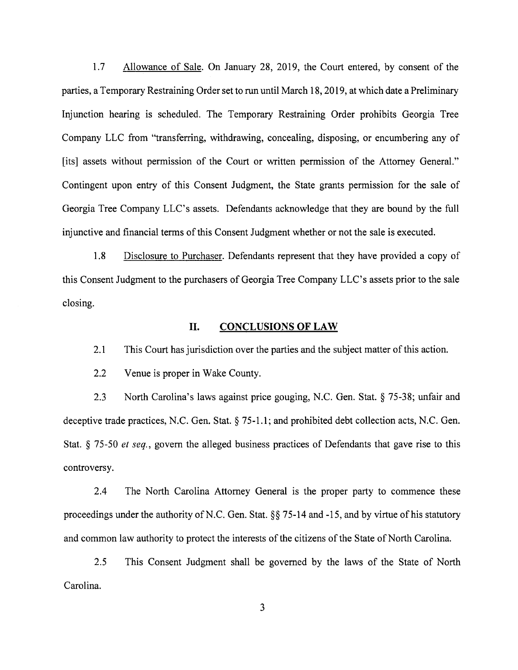1.7 Allowance of Sale. On January 28, 2019, the Court entered, by consent of the parties, a Temporary Restraining Order set to run until March 18, 2019, at which date a Preliminary Injunction hearing is scheduled. The Temporary Restraining Order prohibits Georgia Tree Company LLC from "transferring, withdrawing, concealing, disposing, or encumbering any of [its] assets without permission of the Court or written permission of the Attorney General." Contingent upon entry of this Consent Judgment, the State grants permission for the sale of Georgia Tree Company LLC's assets. Defendants acknowledge that they are bound by the full injunctive and financial terms of this Consent Judgment whether or not the sale is executed.

1.8 Disclosure to Purchaser. Defendants represent that they have provided a copy of this Consent Judgment to the purchasers of Georgia Tree Company LLC's assets prior to the sale closing.

## **II. CONCLUSIONS OF LAW**

2.1 This Court has jurisdiction over the parties and the subject matter of this action.

2.2 Venue is proper in Wake County.

2.3 North Carolina's laws against price gouging, N.C. Gen. Stat. § 75-38; unfair and deceptive trade practices, N.C. Gen. Stat. § 75-1.1; and prohibited debt collection acts, N.C. Gen. Stat. § 75-50 *et seq.,* govern the alleged business practices of Defendants that gave rise to this controversy.

2.4 The North Carolina Attorney General is the proper party to commence these proceedings under the authority of N.C. Gen. Stat.  $\S$ § 75-14 and -15, and by virtue of his statutory and common law authority to protect the interests of the citizens of the State of North Carolina.

2.5 This Consent Judgment shall be governed by the laws of the State of North Carolina.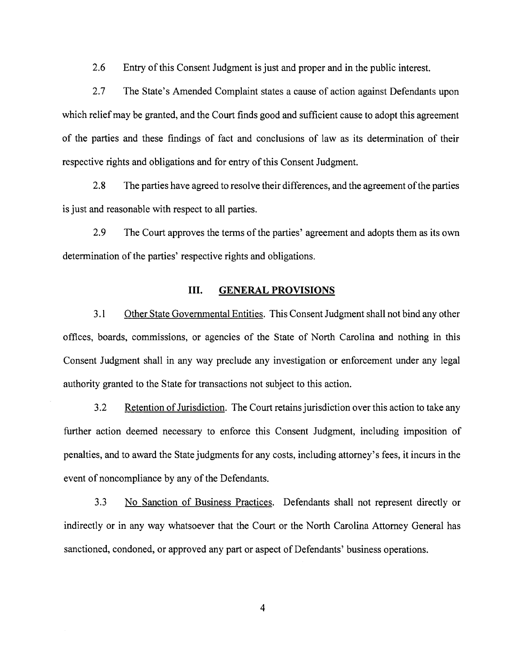2.6 Entry of this Consent Judgment is just and proper and in the public interest.

2.7 The State's Amended Complaint states a cause of action against Defendants upon which relief may be granted, and the Court finds good and sufficient cause to adopt this agreement of the parties and these findings of fact and conclusions of law as its determination of their respective rights and obligations and for entry of this Consent Judgment.

2.8 The parties have agreed to resolve their differences, and the agreement of the parties is just and reasonable with respect to all parties.

2.9 The Court approves the terms of the parties' agreement and adopts them as its own determination of the parties' respective rights and obligations.

## III. **GENERAL PROVISIONS**

3 .1 Other State Governmental Entities. This Consent Judgment shall not bind any other offices, boards, commissions, or agencies of the State of North Carolina and nothing in this Consent Judgment shall in any way preclude any investigation or enforcement under any legal authority granted to the State for transactions not subject to this action.

3 .2 Retention of Jurisdiction. The Court retains jurisdiction over this action to take any further action deemed necessary to enforce this Consent Judgment, including imposition of penalties, and to award the State judgments for any costs, including attorney's fees, it incurs in the event of noncompliance by any of the Defendants.

3.3 No Sanction of Business Practices. Defendants shall not represent directly or indirectly or in any way whatsoever that the Court or the North Carolina Attorney General has sanctioned, condoned, or approved any part or aspect of Defendants' business operations.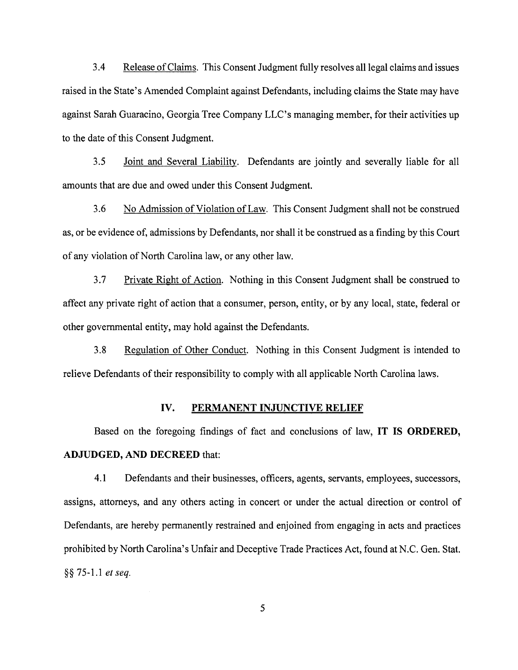3.4 Release of Claims. This Consent Judgment fully resolves all legal claims and issues raised in the State's Amended Complaint against Defendants, including claims the State may have against Sarah Guaracino, Georgia Tree Company LLC's managing member, for their activities up to the date of this Consent Judgment.

3.5 Joint and Several Liability. Defendants are jointly and severally liable for all amounts that are due and owed under this Consent Judgment.

3.6 No Admission of Violation of Law. This Consent Judgment shall not be construed as, or be evidence of, admissions by Defendants, nor shall it be construed as a finding by this Court of any violation of North Carolina law, or any other law.

3.7 Private Right of Action. Nothing in this Consent Judgment shall be construed to affect any private right of action that a consumer, person, entity, or by any local, state, federal or other governmental entity, may hold against the Defendants.

3.8 Regulation of Other Conduct. Nothing in this Consent Judgment is intended to relieve Defendants of their responsibility to comply with all applicable North Carolina laws.

## **IV. PERMANENT INJUNCTIVE RELIEF**

Based on the foregoing findings of fact and conclusions of law, **IT IS ORDERED, ADJUDGED, AND DECREED** that:

4.1 Defendants and their businesses, officers, agents, servants, employees, successors, assigns, attorneys, and any others acting in concert or under the actual direction or control of Defendants, are hereby permanently restrained and enjoined from engaging in acts and practices prohibited by North Carolina's Unfair and Deceptive Trade Practices Act, found at N.C. Gen. Stat. §§ 75-1.1 *et seq.*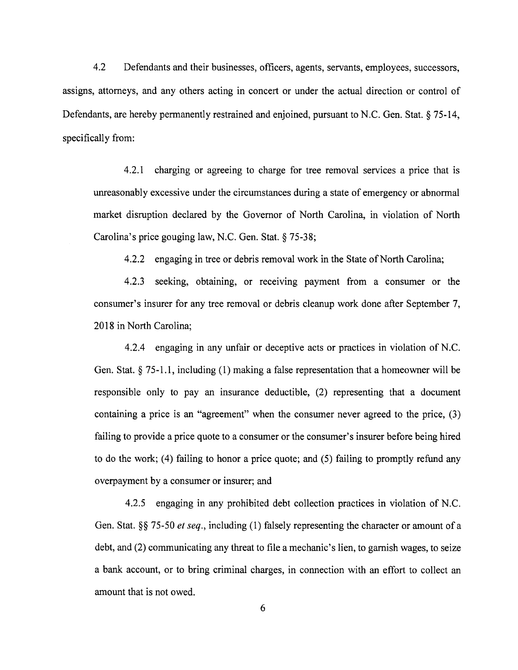4.2 Defendants and their businesses, officers, agents, servants, employees, successors, assigns, attorneys, and any others acting in concert or under the actual direction or control of Defendants, are hereby permanently restrained and enjoined, pursuant to N.C. Gen. Stat. § 75-14, specifically from:

4.2.l charging or agreeing to charge for tree removal services a price that is unreasonably excessive under the circumstances during a state of emergency or abnormal market disruption declared by the Governor of North Carolina, in violation of North Carolina's price gouging law, N.C. Gen. Stat.§ 75-38;

4.2.2 engaging in tree or debris removal work in the State of North Carolina;

4.2.3 seeking, obtaining, or receiving payment from a consumer or the consumer's insurer for any tree removal or debris cleanup work done after September 7, 2018 in North Carolina;

4.2.4 engaging in any unfair or deceptive acts or practices in violation of N.C. Gen. Stat.  $\S 75-1.1$ , including (1) making a false representation that a homeowner will be responsible only to pay an insurance deductible, (2) representing that a document containing a price is an "agreement" when the consumer never agreed to the price, (3) failing to provide a price quote to a consumer or the consumer's insurer before being hired to do the work; (4) failing to honor a price quote; and (5) failing to promptly refund any overpayment by a consumer or insurer; and

4.2.5 engaging in any prohibited debt collection practices in violation of N.C. Gen. Stat.§§ 75-50 *et seq.,* including (1) falsely representing the character or amount of a debt, and (2) communicating any threat to file a mechanic's lien, to garnish wages, to seize a bank account, or to bring criminal charges, in connection with an effort to collect an amount that is not owed.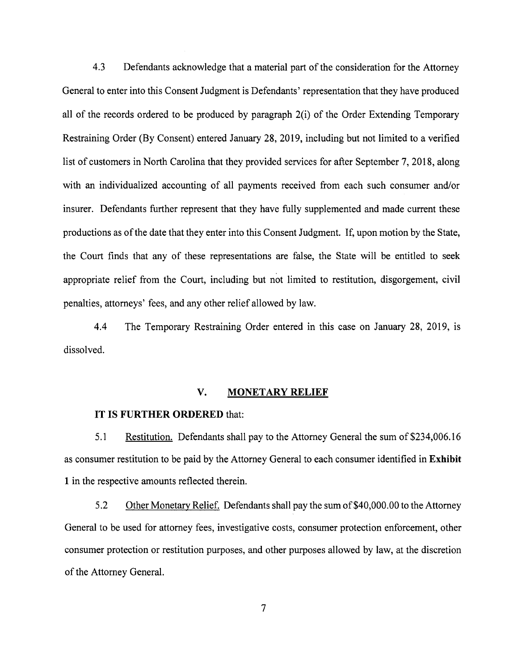4.3 Defendants acknowledge that a material part of the consideration for the Attorney General to enter into this Consent Judgment is Defendants' representation that they have produced all of the records ordered to be produced by paragraph 2(i) of the Order Extending Temporary Restraining Order (By Consent) entered January 28, 2019, including but not limited to a verified list of customers in North Carolina that they provided services for after September 7, 2018, along with an individualized accounting of all payments received from each such consumer and/or insurer. Defendants further represent that they have fully supplemented and made current these productions as of the date that they enter into this Consent Judgment. If, upon motion by the State, the Court finds that any of these representations are false, the State will be entitled to seek appropriate relief from the Court, including but not limited to restitution, disgorgement, civil penalties, attorneys' fees, and any other relief allowed by law.

4.4 The Temporary Restraining Order entered in this case on January 28, 2019, is dissolved.

## **V. MONETARY RELIEF**

#### **IT IS FURTHER ORDERED** that:

5.1 Restitution. Defendants shall pay to the Attorney General the sum of \$234,006.16 as consumer restitution to be paid by the Attorney General to each consumer identified in **Exhibit 1** in the respective amounts reflected therein.

5.2 Other Monetary Relief. Defendants shall pay the sum of\$40,000.00 to the Attorney General to be used for attorney fees, investigative costs, consumer protection enforcement, other consumer protection or restitution purposes, and other purposes allowed by law, at the discretion of the Attorney General.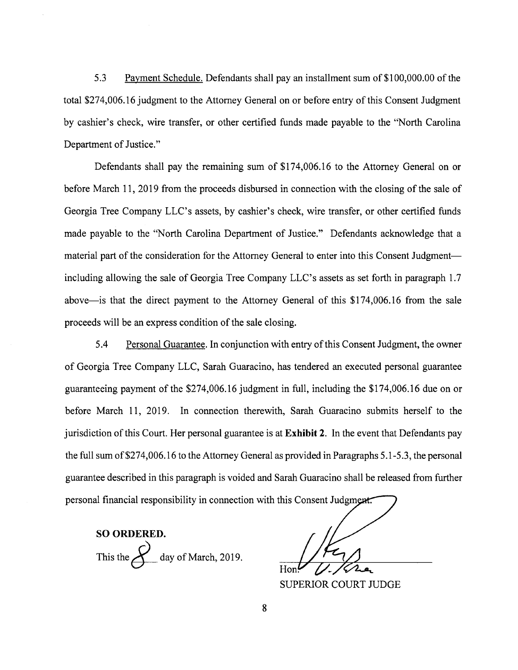5.3 Payment Schedule. Defendants shall pay an installment sum of \$100,000.00 of the total \$274,006.16 judgment to the Attorney General on or before entry of this Consent Judgment by cashier's check, wire transfer, or other certified funds made payable to the "North Carolina Department of Justice."

Defendants shall pay the remaining sum of \$174,006.16 to the Attorney General on or before March 11, 2019 from the proceeds disbursed in connection with the closing of the sale of Georgia Tree Company LLC's assets, by cashier's check, wire transfer, or other certified funds made payable to the "North Carolina Department of Justice." Defendants acknowledge that a material part of the consideration for the Attorney General to enter into this Consent Judgmentincluding allowing the sale of Georgia Tree Company LLC's assets as set forth in paragraph 1.7 above-is that the direct payment to the Attorney General of this \$174,006.16 from the sale proceeds will be an express condition of the sale closing.

5.4 Personal Guarantee. In conjunction with entry of this Consent Judgment, the owner of Georgia Tree Company LLC, Sarah Guaracino, has tendered an executed personal guarantee guaranteeing payment of the \$274,006.16 judgment in full, including the \$174,006.16 due on or before March 11, 2019. In connection therewith, Sarah Guaracino submits herself to the jurisdiction of this Court. Her personal guarantee is at **Exhibit 2.** In the event that Defendants pay the full sum of \$274,006.16 to the Attorney General as provided in Paragraphs 5.1-5.3, the personal guarantee described in this paragraph is voided and Sarah Guaracino shall be released from further personal financial responsibility in connection with this Consent Judgment.

**SO ORDERED.** This the  $\mathcal{L}$  day of March, 2019.

**SUPERIOR COURT JUDGE**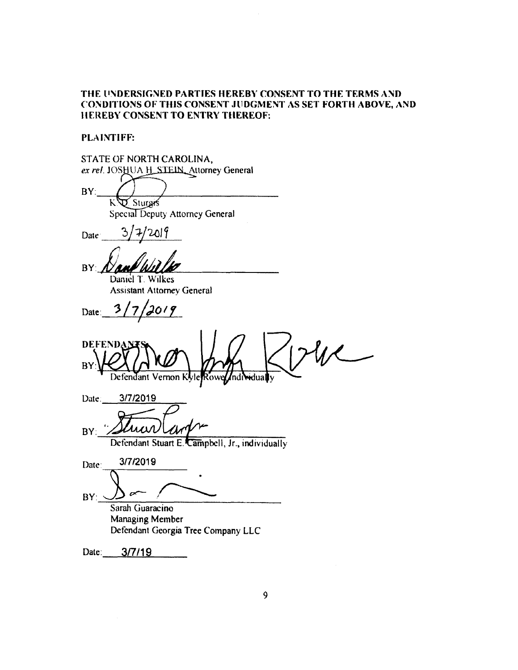# THE UNDERSIGNED PARTIES HEREBY CONSENT TO THE TERMS AND CONDITIONS OF THIS CONSENT ,JllOGMENT AS SET FORTH ABOVE, AND llE:REBY CONSENT TO ENTRY THEREOF:

#### PLAINTIFF:

| STATE OF NORTH CAROLINA,                                        |
|-----------------------------------------------------------------|
| ex rel. JOSHUA H_STEIN_Attorney General                         |
| BY:<br>J. Sturgis                                               |
| Special Deputy Attorney General                                 |
| $\mathcal{C}/$<br>2019/<br>Date                                 |
| BY                                                              |
| Daniel T. Wilkes<br><b>Assistant Attorney General</b>           |
| Date: $3/7/$<br>2019                                            |
| <b>DEFENDA</b><br>BY<br>Defendant Vernon Kyle Rowe Individually |
| Date: 3/7/2019                                                  |
| BY:<br>Defendant Stuart E. Campbell, Jr., individually          |
| 3/7/2019<br>Date:                                               |
| BY:                                                             |
| Sarah Guaracino                                                 |
| Managing Member                                                 |
| Defendant Georgia Tree Company LLC                              |
| 3/7/19<br>Date:                                                 |